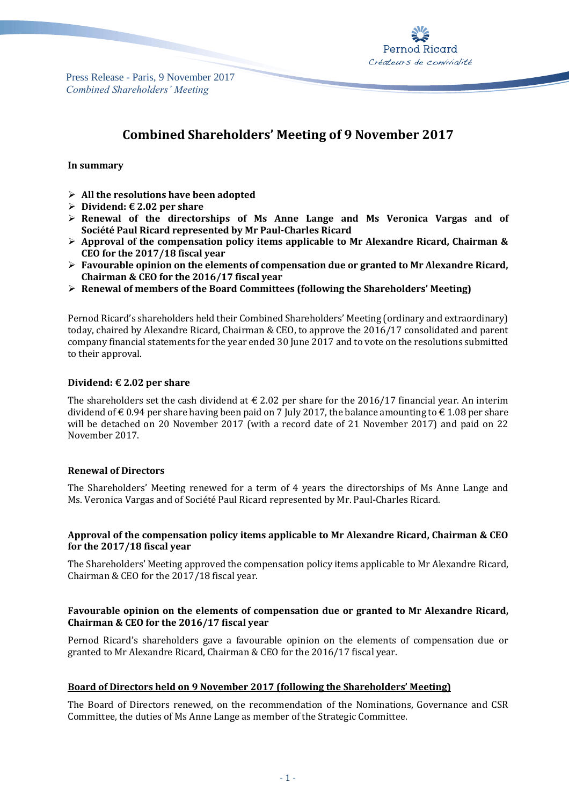Press Release - Paris, 9 November 2017 *Combined Shareholders' Meeting*



# **Combined Shareholders' Meeting of 9 November 2017**

## **In summary**

- **All the resolutions have been adopted**
- **Dividend: € 2.02 per share**
- **Renewal of the directorships of Ms Anne Lange and Ms Veronica Vargas and of Société Paul Ricard represented by Mr Paul-Charles Ricard**
- **Approval of the compensation policy items applicable to Mr Alexandre Ricard, Chairman & CEO for the 2017/18 fiscal year**
- **Favourable opinion on the elements of compensation due or granted to Mr Alexandre Ricard, Chairman & CEO for the 2016/17 fiscal year**
- **Renewal of members of the Board Committees (following the Shareholders' Meeting)**

Pernod Ricard's shareholders held their Combined Shareholders' Meeting (ordinary and extraordinary) today, chaired by Alexandre Ricard, Chairman & CEO, to approve the 2016/17 consolidated and parent company financial statements for the year ended 30 June 2017 and to vote on the resolutions submitted to their approval.

## **Dividend: € 2.02 per share**

The shareholders set the cash dividend at  $\epsilon$  2.02 per share for the 2016/17 financial year. An interim dividend of  $\epsilon$  0.94 per share having been paid on 7 July 2017, the balance amounting to  $\epsilon$  1.08 per share will be detached on 20 November 2017 (with a record date of 21 November 2017) and paid on 22 November 2017.

#### **Renewal of Directors**

The Shareholders' Meeting renewed for a term of 4 years the directorships of Ms Anne Lange and Ms. Veronica Vargas and of Société Paul Ricard represented by Mr. Paul-Charles Ricard.

## **Approval of the compensation policy items applicable to Mr Alexandre Ricard, Chairman & CEO for the 2017/18 fiscal year**

The Shareholders' Meeting approved the compensation policy items applicable to Mr Alexandre Ricard, Chairman & CEO for the 2017/18 fiscal year.

## **Favourable opinion on the elements of compensation due or granted to Mr Alexandre Ricard, Chairman & CEO for the 2016/17 fiscal year**

Pernod Ricard's shareholders gave a favourable opinion on the elements of compensation due or granted to Mr Alexandre Ricard, Chairman & CEO for the 2016/17 fiscal year.

## **Board of Directors held on 9 November 2017 (following the Shareholders' Meeting)**

The Board of Directors renewed, on the recommendation of the Nominations, Governance and CSR Committee, the duties of Ms Anne Lange as member of the Strategic Committee.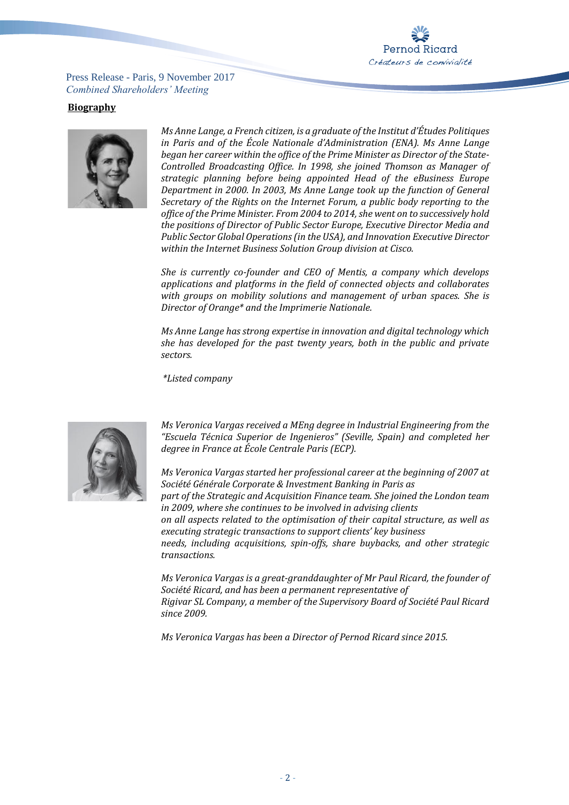

Press Release - Paris, 9 November 2017 *Combined Shareholders' Meeting*

## **Biography**



*Ms Anne Lange, a French citizen, is a graduate of the Institut d'Études Politiques in Paris and of the École Nationale d'Administration (ENA). Ms Anne Lange began her career within the office of the Prime Minister as Director of the State-Controlled Broadcasting Office. In 1998, she joined Thomson as Manager of strategic planning before being appointed Head of the eBusiness Europe Department in 2000. In 2003, Ms Anne Lange took up the function of General Secretary of the Rights on the Internet Forum, a public body reporting to the office of the Prime Minister. From 2004 to 2014, she went on to successively hold the positions of Director of Public Sector Europe, Executive Director Media and Public Sector Global Operations (in the USA), and Innovation Executive Director within the Internet Business Solution Group division at Cisco.*

*She is currently co-founder and CEO of Mentis, a company which develops applications and platforms in the field of connected objects and collaborates with groups on mobility solutions and management of urban spaces. She is Director of Orange\* and the Imprimerie Nationale.*

*Ms Anne Lange has strong expertise in innovation and digital technology which she has developed for the past twenty years, both in the public and private sectors.*

*\*Listed company*



*Ms Veronica Vargas received a MEng degree in Industrial Engineering from the "Escuela Técnica Superior de Ingenieros" (Seville, Spain) and completed her degree in France at École Centrale Paris (ECP).*

*Ms Veronica Vargas started her professional career at the beginning of 2007 at Société Générale Corporate & Investment Banking in Paris as part of the Strategic and Acquisition Finance team. She joined the London team in 2009, where she continues to be involved in advising clients on all aspects related to the optimisation of their capital structure, as well as executing strategic transactions to support clients' key business needs, including acquisitions, spin-offs, share buybacks, and other strategic transactions.*

*Ms Veronica Vargas is a great-granddaughter of Mr Paul Ricard, the founder of Société Ricard, and has been a permanent representative of Rigivar SL Company, a member of the Supervisory Board of Société Paul Ricard since 2009.*

*Ms Veronica Vargas has been a Director of Pernod Ricard since 2015.*